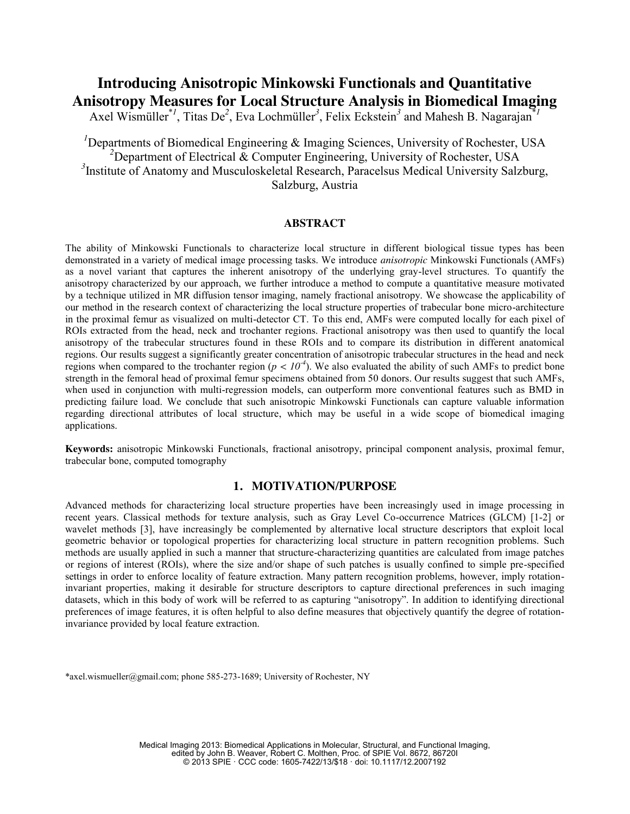# **Introducing Anisotropic Minkowski Functionals and Quantitative Anisotropy Measures for Local Structure Analysis in Biomedical Imaging**

Axel Wismüller<sup>\*1</sup>, Titas De<sup>2</sup>, Eva Lochmüller<sup>3</sup>, Felix Eckstein<sup>3</sup> and Mahesh B. Nagarajan<sup>\*1</sup>

<sup>*I*</sup>Departments of Biomedical Engineering & Imaging Sciences, University of Rochester, USA <sup>2</sup>Department of Electrical & Computer Engineering, University of Rochester, USA <sup>3</sup> Institute of Anatomy and Musculoskeletal Research, Paracelsus Medical University Salzburg, Salzburg, Austria

# **ABSTRACT**

The ability of Minkowski Functionals to characterize local structure in different biological tissue types has been demonstrated in a variety of medical image processing tasks. We introduce *anisotropic* Minkowski Functionals (AMFs) as a novel variant that captures the inherent anisotropy of the underlying gray-level structures. To quantify the anisotropy characterized by our approach, we further introduce a method to compute a quantitative measure motivated by a technique utilized in MR diffusion tensor imaging, namely fractional anisotropy. We showcase the applicability of our method in the research context of characterizing the local structure properties of trabecular bone micro-architecture in the proximal femur as visualized on multi-detector CT. To this end, AMFs were computed locally for each pixel of ROIs extracted from the head, neck and trochanter regions. Fractional anisotropy was then used to quantify the local anisotropy of the trabecular structures found in these ROIs and to compare its distribution in different anatomical regions. Our results suggest a significantly greater concentration of anisotropic trabecular structures in the head and neck regions when compared to the trochanter region ( $p < 10<sup>-4</sup>$ ). We also evaluated the ability of such AMFs to predict bone strength in the femoral head of proximal femur specimens obtained from 50 donors. Our results suggest that such AMFs, when used in conjunction with multi-regression models, can outperform more conventional features such as BMD in predicting failure load. We conclude that such anisotropic Minkowski Functionals can capture valuable information regarding directional attributes of local structure, which may be useful in a wide scope of biomedical imaging applications.

**Keywords:** anisotropic Minkowski Functionals, fractional anisotropy, principal component analysis, proximal femur, trabecular bone, computed tomography

# **1. MOTIVATION/PURPOSE**

Advanced methods for characterizing local structure properties have been increasingly used in image processing in recent years. Classical methods for texture analysis, such as Gray Level Co-occurrence Matrices (GLCM) [1-2] or wavelet methods [3], have increasingly be complemented by alternative local structure descriptors that exploit local geometric behavior or topological properties for characterizing local structure in pattern recognition problems. Such methods are usually applied in such a manner that structure-characterizing quantities are calculated from image patches or regions of interest (ROIs), where the size and/or shape of such patches is usually confined to simple pre-specified settings in order to enforce locality of feature extraction. Many pattern recognition problems, however, imply rotationinvariant properties, making it desirable for structure descriptors to capture directional preferences in such imaging datasets, which in this body of work will be referred to as capturing "anisotropy". In addition to identifying directional preferences of image features, it is often helpful to also define measures that objectively quantify the degree of rotationinvariance provided by local feature extraction.

\*axel.wismueller@gmail.com; phone 585-273-1689; University of Rochester, NY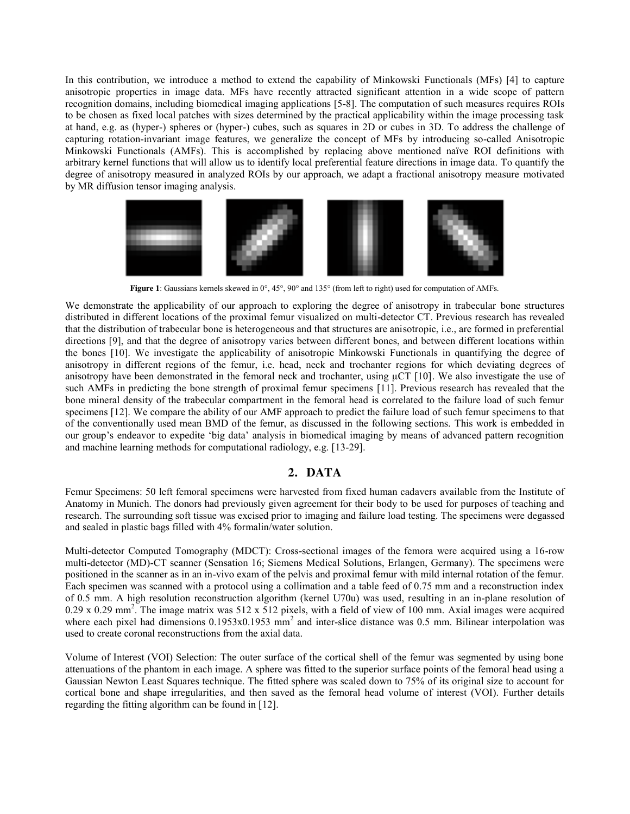In this contribution, we introduce a method to extend the capability of Minkowski Functionals (MFs) [4] to capture anisotropic properties in image data. MFs have recently attracted significant attention in a wide scope of pattern recognition domains, including biomedical imaging applications [5-8]. The computation of such measures requires ROIs to be chosen as fixed local patches with sizes determined by the practical applicability within the image processing task at hand, e.g. as (hyper-) spheres or (hyper-) cubes, such as squares in 2D or cubes in 3D. To address the challenge of capturing rotation-invariant image features, we generalize the concept of MFs by introducing so-called Anisotropic Minkowski Functionals (AMFs). This is accomplished by replacing above mentioned naïve ROI definitions with arbitrary kernel functions that will allow us to identify local preferential feature directions in image data. To quantify the degree of anisotropy measured in analyzed ROIs by our approach, we adapt a fractional anisotropy measure motivated by MR diffusion tensor imaging analysis.



**Figure 1**: Gaussians kernels skewed in 0°, 45°, 90° and 135° (from left to right) used for computation of AMFs.

We demonstrate the applicability of our approach to exploring the degree of anisotropy in trabecular bone structures distributed in different locations of the proximal femur visualized on multi-detector CT. Previous research has revealed that the distribution of trabecular bone is heterogeneous and that structures are anisotropic, i.e., are formed in preferential directions [9], and that the degree of anisotropy varies between different bones, and between different locations within the bones [10]. We investigate the applicability of anisotropic Minkowski Functionals in quantifying the degree of anisotropy in different regions of the femur, i.e. head, neck and trochanter regions for which deviating degrees of anisotropy have been demonstrated in the femoral neck and trochanter, using µCT [10]. We also investigate the use of such AMFs in predicting the bone strength of proximal femur specimens [11]. Previous research has revealed that the bone mineral density of the trabecular compartment in the femoral head is correlated to the failure load of such femur specimens [12]. We compare the ability of our AMF approach to predict the failure load of such femur specimens to that of the conventionally used mean BMD of the femur, as discussed in the following sections. This work is embedded in our group's endeavor to expedite 'big data' analysis in biomedical imaging by means of advanced pattern recognition and machine learning methods for computational radiology, e.g. [13-29].

# **2. DATA**

Femur Specimens: 50 left femoral specimens were harvested from fixed human cadavers available from the Institute of Anatomy in Munich. The donors had previously given agreement for their body to be used for purposes of teaching and research. The surrounding soft tissue was excised prior to imaging and failure load testing. The specimens were degassed and sealed in plastic bags filled with 4% formalin/water solution.

Multi-detector Computed Tomography (MDCT): Cross-sectional images of the femora were acquired using a 16-row multi-detector (MD)-CT scanner (Sensation 16; Siemens Medical Solutions, Erlangen, Germany). The specimens were positioned in the scanner as in an in-vivo exam of the pelvis and proximal femur with mild internal rotation of the femur. Each specimen was scanned with a protocol using a collimation and a table feed of 0.75 mm and a reconstruction index of 0.5 mm. A high resolution reconstruction algorithm (kernel U70u) was used, resulting in an in-plane resolution of  $0.29 \times 0.29 \text{ mm}^2$ . The image matrix was 512 x 512 pixels, with a field of view of 100 mm. Axial images were acquired where each pixel had dimensions 0.1953x0.1953 mm<sup>2</sup> and inter-slice distance was 0.5 mm. Bilinear interpolation was used to create coronal reconstructions from the axial data.

Volume of Interest (VOI) Selection: The outer surface of the cortical shell of the femur was segmented by using bone attenuations of the phantom in each image. A sphere was fitted to the superior surface points of the femoral head using a Gaussian Newton Least Squares technique. The fitted sphere was scaled down to 75% of its original size to account for cortical bone and shape irregularities, and then saved as the femoral head volume of interest (VOI). Further details regarding the fitting algorithm can be found in [12].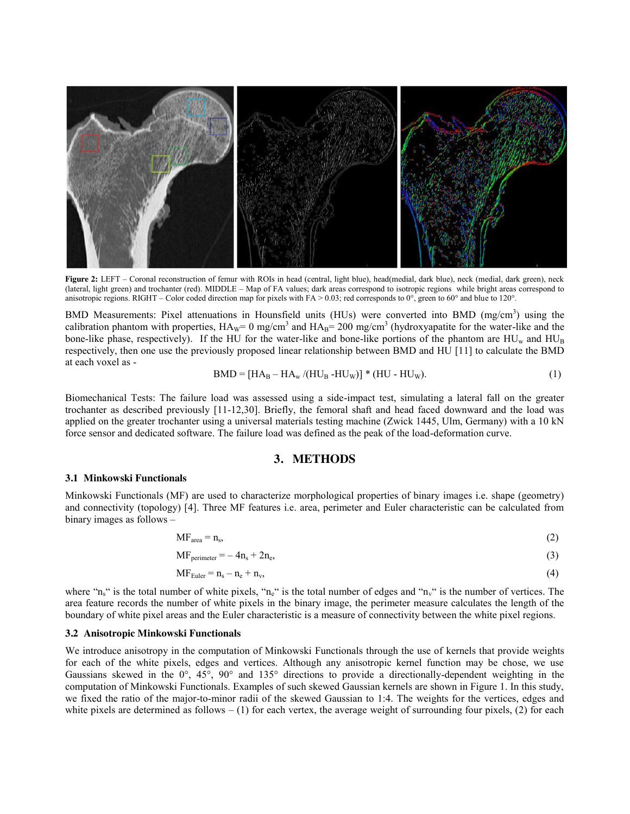

**Figure 2:** LEFT – Coronal reconstruction of femur with ROIs in head (central, light blue), head(medial, dark blue), neck (medial, dark green), neck (lateral, light green) and trochanter (red). MIDDLE – Map of FA values; dark areas correspond to isotropic regions while bright areas correspond to anisotropic regions. RIGHT – Color coded direction map for pixels with FA > 0.03; red corresponds to  $0^{\circ}$ , green to  $60^{\circ}$  and blue to 120°.

BMD Measurements: Pixel attenuations in Hounsfield units (HUs) were converted into BMD (mg/cm<sup>3</sup>) using the calibration phantom with properties,  $HA_W = 0$  mg/cm<sup>3</sup> and  $HA_B = 200$  mg/cm<sup>3</sup> (hydroxyapatite for the water-like and the bone-like phase, respectively). If the HU for the water-like and bone-like portions of the phantom are  $HU<sub>w</sub>$  and  $HU<sub>B</sub>$ respectively, then one use the previously proposed linear relationship between BMD and HU [11] to calculate the BMD at each voxel as -

$$
BMD = [HAB - HAw / (HUB - HUw)] * (HU - HUw).
$$
\n(1)

Biomechanical Tests: The failure load was assessed using a side-impact test, simulating a lateral fall on the greater trochanter as described previously [11-12,30]. Briefly, the femoral shaft and head faced downward and the load was applied on the greater trochanter using a universal materials testing machine (Zwick 1445, Ulm, Germany) with a 10 kN force sensor and dedicated software. The failure load was defined as the peak of the load-deformation curve.

## **3. METHODS**

#### **3.1 Minkowski Functionals**

Minkowski Functionals (MF) are used to characterize morphological properties of binary images i.e. shape (geometry) and connectivity (topology) [4]. Three MF features i.e. area, perimeter and Euler characteristic can be calculated from binary images as follows –

$$
MF_{area} = n_s, \tag{2}
$$

 $MF_{perimeter} = -4n_s + 2n_e,$  (3)

$$
MF_{Euler} = n_s - n_e + n_v, \tag{4}
$$

where " $n_s$ " is the total number of white pixels, " $n_e$ " is the total number of edges and " $n_v$ " is the number of vertices. The area feature records the number of white pixels in the binary image, the perimeter measure calculates the length of the boundary of white pixel areas and the Euler characteristic is a measure of connectivity between the white pixel regions.

#### **3.2 Anisotropic Minkowski Functionals**

We introduce anisotropy in the computation of Minkowski Functionals through the use of kernels that provide weights for each of the white pixels, edges and vertices. Although any anisotropic kernel function may be chose, we use Gaussians skewed in the 0°, 45°, 90° and 135° directions to provide a directionally-dependent weighting in the computation of Minkowski Functionals. Examples of such skewed Gaussian kernels are shown in Figure 1. In this study, we fixed the ratio of the major-to-minor radii of the skewed Gaussian to 1:4. The weights for the vertices, edges and white pixels are determined as follows  $- (1)$  for each vertex, the average weight of surrounding four pixels, (2) for each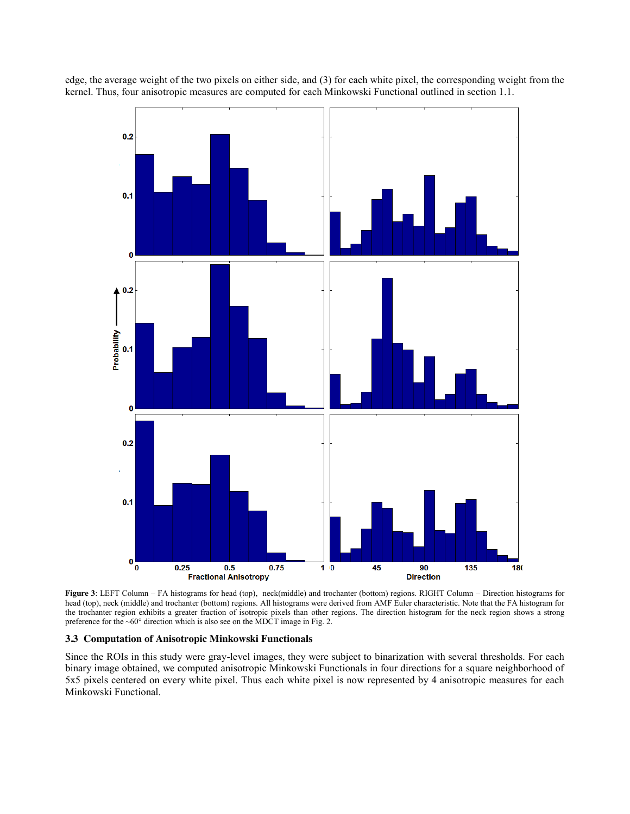edge, the average weight of the two pixels on either side, and (3) for each white pixel, the corresponding weight from the kernel. Thus, four anisotropic measures are computed for each Minkowski Functional outlined in section 1.1.



**Figure 3**: LEFT Column – FA histograms for head (top), neck(middle) and trochanter (bottom) regions. RIGHT Column – Direction histograms for head (top), neck (middle) and trochanter (bottom) regions. All histograms were derived from AMF Euler characteristic. Note that the FA histogram for the trochanter region exhibits a greater fraction of isotropic pixels than other regions. The direction histogram for the neck region shows a strong preference for the ~60° direction which is also see on the MDCT image in Fig. 2.

#### **3.3 Computation of Anisotropic Minkowski Functionals**

Since the ROIs in this study were gray-level images, they were subject to binarization with several thresholds. For each binary image obtained, we computed anisotropic Minkowski Functionals in four directions for a square neighborhood of 5x5 pixels centered on every white pixel. Thus each white pixel is now represented by 4 anisotropic measures for each Minkowski Functional.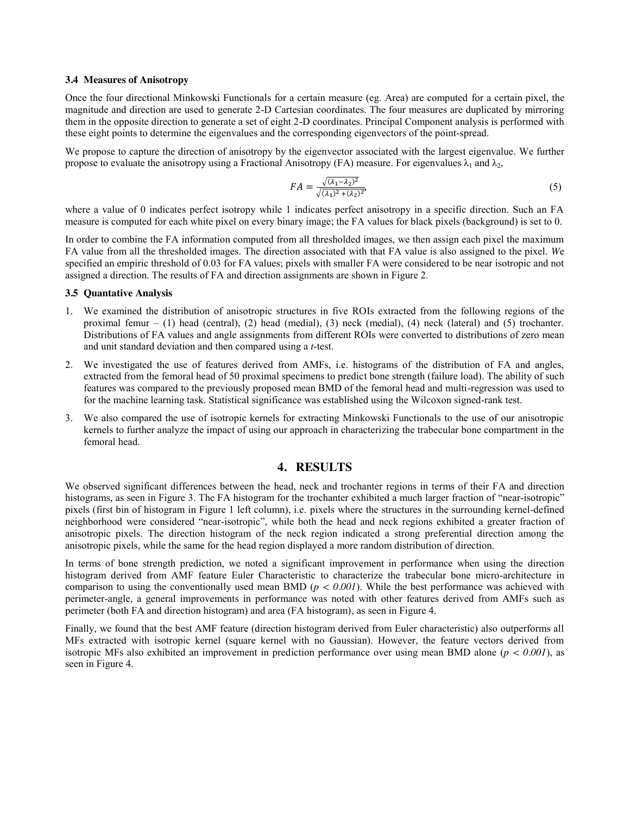#### **3.4 Measures of Anisotropy**

Once the four directional Minkowski Functionals for a certain measure (eg. Area) are computed for a certain pixel, the magnitude and direction are used to generate 2-D Cartesian coordinates. The four measures are duplicated by mirroring them in the opposite direction to generate a set of eight 2-D coordinates. Principal Component analysis is performed with these eight points to determine the eigenvalues and the corresponding eigenvectors of the point-spread.

We propose to capture the direction of anisotropy by the eigenvector associated with the largest eigenvalue. We further propose to evaluate the anisotropy using a Fractional Anisotropy (FA) measure. For eigenvalues  $\lambda_1$  and  $\lambda_2$ ,

$$
FA = \frac{\sqrt{(\lambda_1 - \lambda_2)^2}}{\sqrt{(\lambda_1)^2 + (\lambda_2)^2}},\tag{5}
$$

where a value of 0 indicates perfect isotropy while 1 indicates perfect anisotropy in a specific direction. Such an FA measure is computed for each white pixel on every binary image; the FA values for black pixels (background) is set to 0.

In order to combine the FA information computed from all thresholded images, we then assign each pixel the maximum FA value from all the thresholded images. The direction associated with that FA value is also assigned to the pixel. *W*e specified an empiric threshold of 0.03 for FA values; pixels with smaller FA were considered to be near isotropic and not assigned a direction. The results of FA and direction assignments are shown in Figure 2.

## **3.5 Quantative Analysis**

- 1. We examined the distribution of anisotropic structures in five ROIs extracted from the following regions of the proximal femur – (1) head (central), (2) head (medial), (3) neck (medial), (4) neck (lateral) and (5) trochanter. Distributions of FA values and angle assignments from different ROIs were converted to distributions of zero mean and unit standard deviation and then compared using a *t*-test.
- 2. We investigated the use of features derived from AMFs, i.e. histograms of the distribution of FA and angles, extracted from the femoral head of 50 proximal specimens to predict bone strength (failure load). The ability of such features was compared to the previously proposed mean BMD of the femoral head and multi-regression was used to for the machine learning task. Statistical significance was established using the Wilcoxon signed-rank test.
- 3. We also compared the use of isotropic kernels for extracting Minkowski Functionals to the use of our anisotropic kernels to further analyze the impact of using our approach in characterizing the trabecular bone compartment in the femoral head.

## **4. RESULTS**

We observed significant differences between the head, neck and trochanter regions in terms of their FA and direction histograms, as seen in Figure 3. The FA histogram for the trochanter exhibited a much larger fraction of "near-isotropic" pixels (first bin of histogram in Figure 1 left column), i.e. pixels where the structures in the surrounding kernel-defined neighborhood were considered "near-isotropic", while both the head and neck regions exhibited a greater fraction of anisotropic pixels. The direction histogram of the neck region indicated a strong preferential direction among the anisotropic pixels, while the same for the head region displayed a more random distribution of direction.

In terms of bone strength prediction, we noted a significant improvement in performance when using the direction histogram derived from AMF feature Euler Characteristic to characterize the trabecular bone micro-architecture in comparison to using the conventionally used mean BMD (*p < 0.001*). While the best performance was achieved with perimeter-angle, a general improvements in performance was noted with other features derived from AMFs such as perimeter (both FA and direction histogram) and area (FA histogram), as seen in Figure 4.

Finally, we found that the best AMF feature (direction histogram derived from Euler characteristic) also outperforms all MFs extracted with isotropic kernel (square kernel with no Gaussian). However, the feature vectors derived from isotropic MFs also exhibited an improvement in prediction performance over using mean BMD alone (*p < 0.001*), as seen in Figure 4.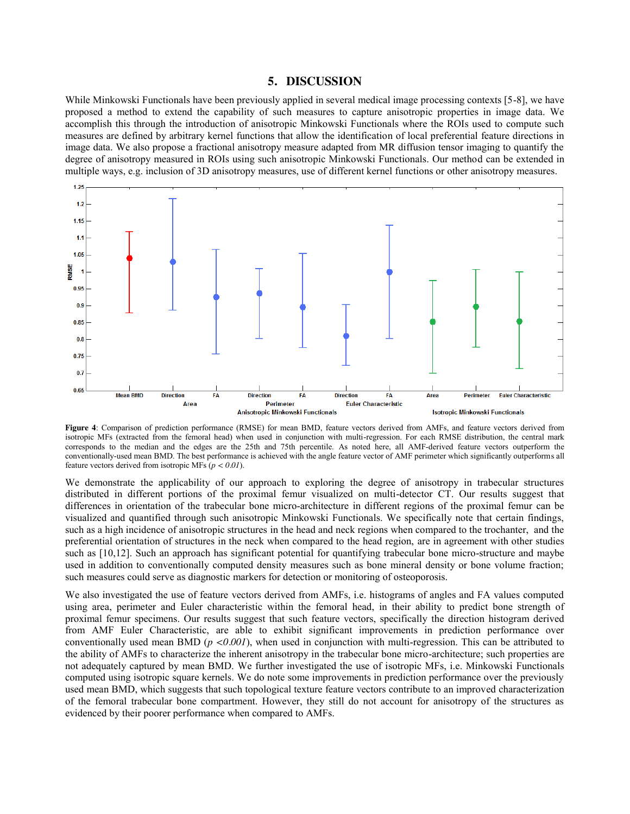#### **5. DISCUSSION**

While Minkowski Functionals have been previously applied in several medical image processing contexts [5-8], we have proposed a method to extend the capability of such measures to capture anisotropic properties in image data. We accomplish this through the introduction of anisotropic Minkowski Functionals where the ROIs used to compute such measures are defined by arbitrary kernel functions that allow the identification of local preferential feature directions in image data. We also propose a fractional anisotropy measure adapted from MR diffusion tensor imaging to quantify the degree of anisotropy measured in ROIs using such anisotropic Minkowski Functionals. Our method can be extended in multiple ways, e.g. inclusion of 3D anisotropy measures, use of different kernel functions or other anisotropy measures.



**Figure 4**: Comparison of prediction performance (RMSE) for mean BMD, feature vectors derived from AMFs, and feature vectors derived from isotropic MFs (extracted from the femoral head) when used in conjunction with multi-regression. For each RMSE distribution, the central mark corresponds to the median and the edges are the 25th and 75th percentile. As noted here, all AMF-derived feature vectors outperform the conventionally-used mean BMD. The best performance is achieved with the angle feature vector of AMF perimeter which significantly outperforms all feature vectors derived from isotropic MFs (*p < 0.01*).

We demonstrate the applicability of our approach to exploring the degree of anisotropy in trabecular structures distributed in different portions of the proximal femur visualized on multi-detector CT. Our results suggest that differences in orientation of the trabecular bone micro-architecture in different regions of the proximal femur can be visualized and quantified through such anisotropic Minkowski Functionals. We specifically note that certain findings, such as a high incidence of anisotropic structures in the head and neck regions when compared to the trochanter, and the preferential orientation of structures in the neck when compared to the head region, are in agreement with other studies such as [10,12]. Such an approach has significant potential for quantifying trabecular bone micro-structure and maybe used in addition to conventionally computed density measures such as bone mineral density or bone volume fraction; such measures could serve as diagnostic markers for detection or monitoring of osteoporosis.

We also investigated the use of feature vectors derived from AMFs, i.e. histograms of angles and FA values computed using area, perimeter and Euler characteristic within the femoral head, in their ability to predict bone strength of proximal femur specimens. Our results suggest that such feature vectors, specifically the direction histogram derived from AMF Euler Characteristic, are able to exhibit significant improvements in prediction performance over conventionally used mean BMD ( $p < 0.001$ ), when used in conjunction with multi-regression. This can be attributed to the ability of AMFs to characterize the inherent anisotropy in the trabecular bone micro-architecture; such properties are not adequately captured by mean BMD. We further investigated the use of isotropic MFs, i.e. Minkowski Functionals computed using isotropic square kernels. We do note some improvements in prediction performance over the previously used mean BMD, which suggests that such topological texture feature vectors contribute to an improved characterization of the femoral trabecular bone compartment. However, they still do not account for anisotropy of the structures as evidenced by their poorer performance when compared to AMFs.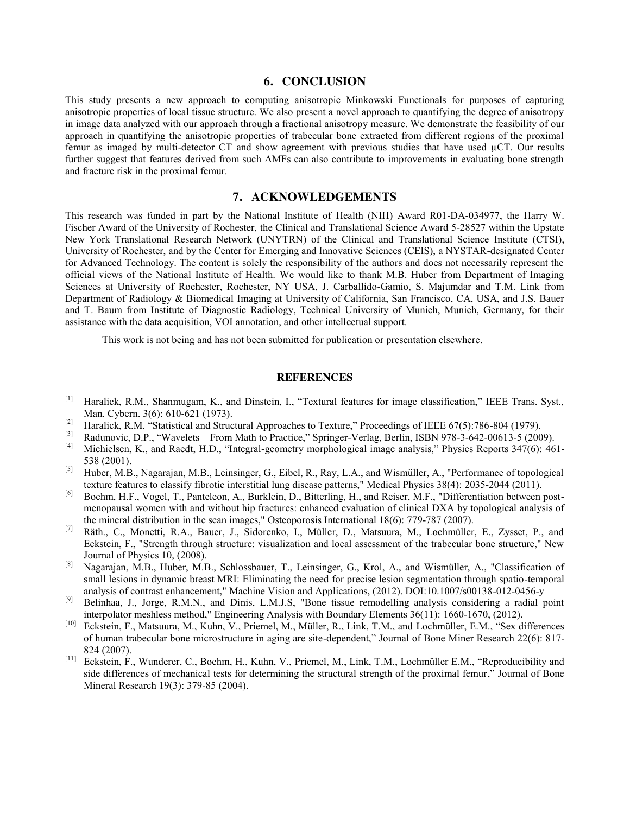#### **6. CONCLUSION**

This study presents a new approach to computing anisotropic Minkowski Functionals for purposes of capturing anisotropic properties of local tissue structure. We also present a novel approach to quantifying the degree of anisotropy in image data analyzed with our approach through a fractional anisotropy measure. We demonstrate the feasibility of our approach in quantifying the anisotropic properties of trabecular bone extracted from different regions of the proximal femur as imaged by multi-detector CT and show agreement with previous studies that have used  $\mu$ CT. Our results further suggest that features derived from such AMFs can also contribute to improvements in evaluating bone strength and fracture risk in the proximal femur.

# **7. ACKNOWLEDGEMENTS**

This research was funded in part by the National Institute of Health (NIH) Award R01-DA-034977, the Harry W. Fischer Award of the University of Rochester, the Clinical and Translational Science Award 5-28527 within the Upstate New York Translational Research Network (UNYTRN) of the Clinical and Translational Science Institute (CTSI), University of Rochester, and by the Center for Emerging and Innovative Sciences (CEIS), a NYSTAR-designated Center for Advanced Technology. The content is solely the responsibility of the authors and does not necessarily represent the official views of the National Institute of Health. We would like to thank M.B. Huber from Department of Imaging Sciences at University of Rochester, Rochester, NY USA, J. Carballido-Gamio, S. Majumdar and T.M. Link from Department of Radiology & Biomedical Imaging at University of California, San Francisco, CA, USA, and J.S. Bauer and T. Baum from Institute of Diagnostic Radiology, Technical University of Munich, Munich, Germany, for their assistance with the data acquisition, VOI annotation, and other intellectual support.

This work is not being and has not been submitted for publication or presentation elsewhere.

#### **REFERENCES**

- [1] Haralick, R.M., Shanmugam, K., and Dinstein, I., "Textural features for image classification," IEEE Trans. Syst., Man. Cybern. 3(6): 610-621 (1973).
- [2] Haralick, R.M. "Statistical and Structural Approaches to Texture," Proceedings of IEEE 67(5):786-804 (1979).
- <sup>[3]</sup> Radunovic, D.P., "Wavelets From Math to Practice," Springer-Verlag, Berlin, ISBN 978-3-642-00613-5 (2009).<br><sup>[4]</sup> Michielsen, K., and Raedt, H.D. "Integral-geometry morphological image analysis." Physics Reports 34
- [4] Michielsen, K., and Raedt, H.D., "Integral-geometry morphological image analysis," Physics Reports 347(6): 461- 538 (2001).
- [5] Huber, M.B., Nagarajan, M.B., Leinsinger, G., Eibel, R., Ray, L.A., and Wismüller, A., "Performance of topological texture features to classify fibrotic interstitial lung disease patterns," Medical Physics 38(4): 2035-2044 (2011).
- [6] Boehm, H.F., Vogel, T., Panteleon, A., Burklein, D., Bitterling, H., and Reiser, M.F., "Differentiation between postmenopausal women with and without hip fractures: enhanced evaluation of clinical DXA by topological analysis of the mineral distribution in the scan images," Osteoporosis International 18(6): 779-787 (2007).
- [7] Räth., C., Monetti, R.A., Bauer, J., Sidorenko, I., Müller, D., Matsuura, M., Lochmüller, E., Zysset, P., and Eckstein, F., "Strength through structure: visualization and local assessment of the trabecular bone structure," New Journal of Physics 10, (2008).
- [8] Nagarajan, M.B., Huber, M.B., Schlossbauer, T., Leinsinger, G., Krol, A., and Wismüller, A., "Classification of small lesions in dynamic breast MRI: Eliminating the need for precise lesion segmentation through spatio-temporal analysis of contrast enhancement," Machine Vision and Applications, (2012). DOI:10.1007/s00138-012-0456-y
- [9] Belinhaa, J., Jorge, R.M.N., and Dinis, L.M.J.S, "Bone tissue remodelling analysis considering a radial point interpolator meshless method," Engineering Analysis with Boundary Elements 36(11): 1660-1670, (2012).
- [10] Eckstein, F., Matsuura, M., Kuhn, V., Priemel, M., Müller, R., Link, T.M., and Lochmüller, E.M., "Sex differences of human trabecular bone microstructure in aging are site-dependent," Journal of Bone Miner Research 22(6): 817- 824 (2007).<br><sup>[11]</sup> Eckstein, F., Wunderer, C., Boehm, H., Kuhn, V., Priemel, M., Link, T.M., Lochmüller E.M., "Reproducibility and
- side differences of mechanical tests for determining the structural strength of the proximal femur," Journal of Bone Mineral Research 19(3): 379-85 (2004).